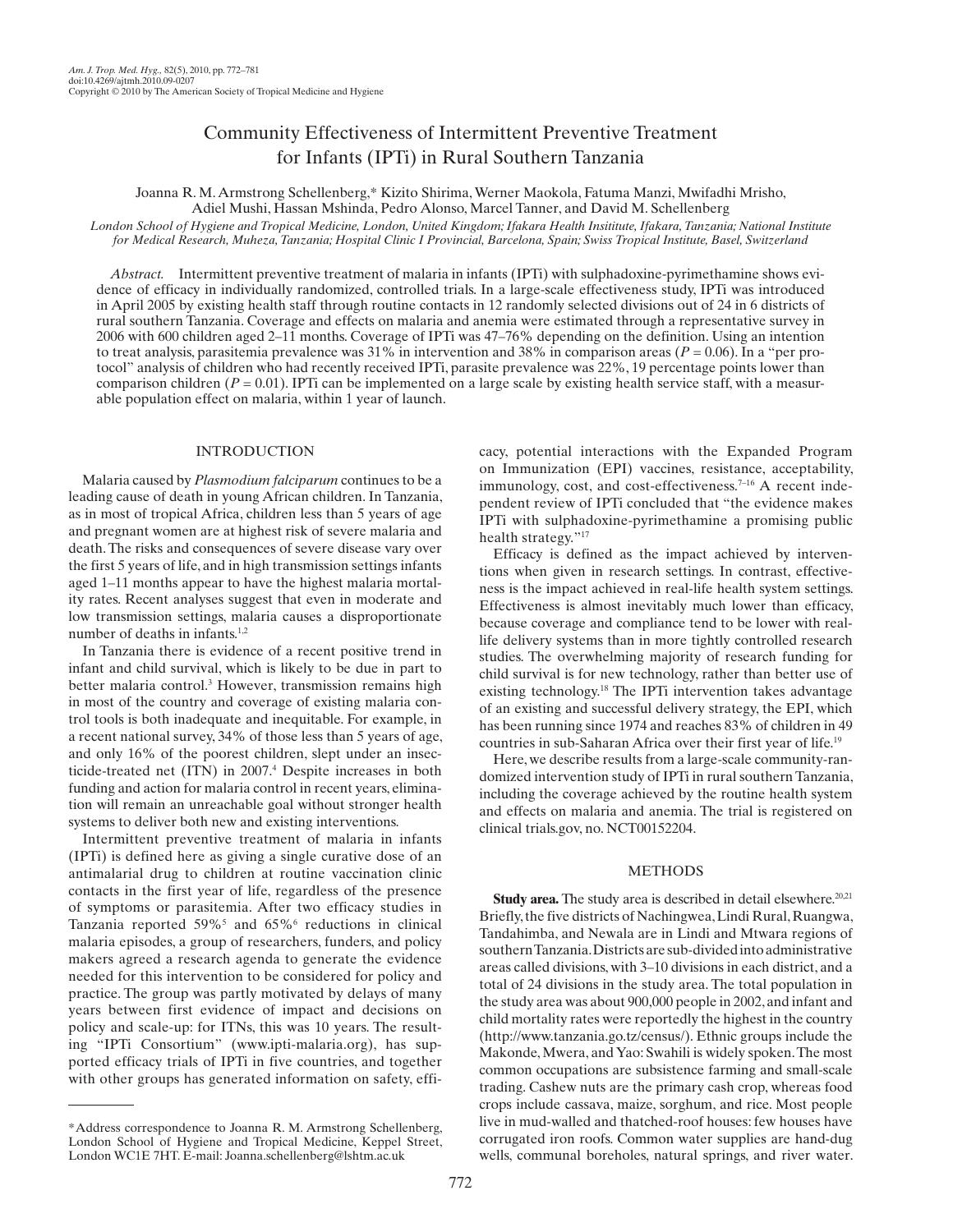# Community Effectiveness of Intermittent Preventive Treatment for Infants (IPTi) in Rural Southern Tanzania

Joanna R. M. Armstrong Schellenberg,\* Kizito Shirima, Werner Maokola, Fatuma Manzi, Mwifadhi Mrisho, Adiel Mushi, Hassan Mshinda, Pedro Alonso, Marcel Tanner, and David M. Schellenberg

 *London School of Hygiene and Tropical Medicine, London, United Kingdom; Ifakara Health Insititute, Ifakara, Tanzania; National Institute for Medical Research, Muheza, Tanzania; Hospital Clinic I Provincial, Barcelona, Spain; Swiss Tropical Institute, Basel, Switzerland* 

*Abstract.* Intermittent preventive treatment of malaria in infants (IPTi) with sulphadoxine-pyrimethamine shows evidence of efficacy in individually randomized, controlled trials. In a large-scale effectiveness study, IPTi was introduced in April 2005 by existing health staff through routine contacts in 12 randomly selected divisions out of 24 in 6 districts of rural southern Tanzania. Coverage and effects on malaria and anemia were estimated through a representative survey in 2006 with 600 children aged 2–11 months. Coverage of IPTi was 47–76% depending on the definition. Using an intention to treat analysis, parasitemia prevalence was  $31\%$  in intervention and  $38\%$  in comparison areas ( $P = 0.06$ ). In a "per protocol" analysis of children who had recently received IPTi, parasite prevalence was 22%, 19 percentage points lower than comparison children ( $P = 0.01$ ). IPTi can be implemented on a large scale by existing health service staff, with a measurable population effect on malaria, within 1 year of launch.

# INTRODUCTION

 Malaria caused by *Plasmodium falciparum* continues to be a leading cause of death in young African children. In Tanzania, as in most of tropical Africa, children less than 5 years of age and pregnant women are at highest risk of severe malaria and death. The risks and consequences of severe disease vary over the first 5 years of life, and in high transmission settings infants aged 1–11 months appear to have the highest malaria mortality rates. Recent analyses suggest that even in moderate and low transmission settings, malaria causes a disproportionate number of deaths in infants.<sup>1,2</sup>

 In Tanzania there is evidence of a recent positive trend in infant and child survival, which is likely to be due in part to better malaria control.<sup>3</sup> However, transmission remains high in most of the country and coverage of existing malaria control tools is both inadequate and inequitable. For example, in a recent national survey, 34% of those less than 5 years of age, and only 16% of the poorest children, slept under an insecticide-treated net (ITN) in 2007.<sup>4</sup> Despite increases in both funding and action for malaria control in recent years, elimination will remain an unreachable goal without stronger health systems to deliver both new and existing interventions.

 Intermittent preventive treatment of malaria in infants (IPTi) is defined here as giving a single curative dose of an antimalarial drug to children at routine vaccination clinic contacts in the first year of life, regardless of the presence of symptoms or parasitemia. After two efficacy studies in Tanzania reported  $59\%$ <sup>5</sup> and  $65\%$ <sup>6</sup> reductions in clinical malaria episodes, a group of researchers, funders, and policy makers agreed a research agenda to generate the evidence needed for this intervention to be considered for policy and practice. The group was partly motivated by delays of many years between first evidence of impact and decisions on policy and scale-up: for ITNs, this was 10 years. The resulting "IPTi Consortium" ( www.ipti-malaria.org ), has supported efficacy trials of IPTi in five countries, and together with other groups has generated information on safety, efficacy, potential interactions with the Expanded Program on Immunization (EPI) vaccines, resistance, acceptability, immunology, cost, and cost-effectiveness.<sup>7-16</sup> A recent independent review of IPTi concluded that "the evidence makes IPTi with sulphadoxine-pyrimethamine a promising public health strategy."<sup>17</sup>

 Efficacy is defined as the impact achieved by interventions when given in research settings. In contrast, effectiveness is the impact achieved in real-life health system settings. Effectiveness is almost inevitably much lower than efficacy, because coverage and compliance tend to be lower with reallife delivery systems than in more tightly controlled research studies. The overwhelming majority of research funding for child survival is for new technology, rather than better use of existing technology.<sup>18</sup> The IPTi intervention takes advantage of an existing and successful delivery strategy, the EPI, which has been running since 1974 and reaches 83% of children in 49 countries in sub-Saharan Africa over their first year of life.<sup>19</sup>

 Here, we describe results from a large-scale community-randomized intervention study of IPTi in rural southern Tanzania, including the coverage achieved by the routine health system and effects on malaria and anemia. The trial is registered on clinical trials.gov, no. NCT00152204.

# METHODS

**Study area.** The study area is described in detail elsewhere.<sup>20,21</sup> Briefly, the five districts of Nachingwea, Lindi Rural, Ruangwa, Tandahimba, and Newala are in Lindi and Mtwara regions of southern Tanzania. Districts are sub-divided into administrative areas called divisions, with 3–10 divisions in each district, and a total of 24 divisions in the study area. The total population in the study area was about 900,000 people in 2002, and infant and child mortality rates were reportedly the highest in the country (http://www.tanzania.go.tz/census/). Ethnic groups include the Makonde, Mwera, and Yao: Swahili is widely spoken. The most common occupations are subsistence farming and small-scale trading. Cashew nuts are the primary cash crop, whereas food crops include cassava, maize, sorghum, and rice. Most people live in mud-walled and thatched-roof houses: few houses have corrugated iron roofs. Common water supplies are hand-dug wells, communal boreholes, natural springs, and river water.

 <sup>\*</sup> Address correspondence to Joanna R. M. Armstrong Schellenberg, London School of Hygiene and Tropical Medicine, Keppel Street, London WC1E 7HT. E-mail: Joanna.schellenberg@lshtm.ac.uk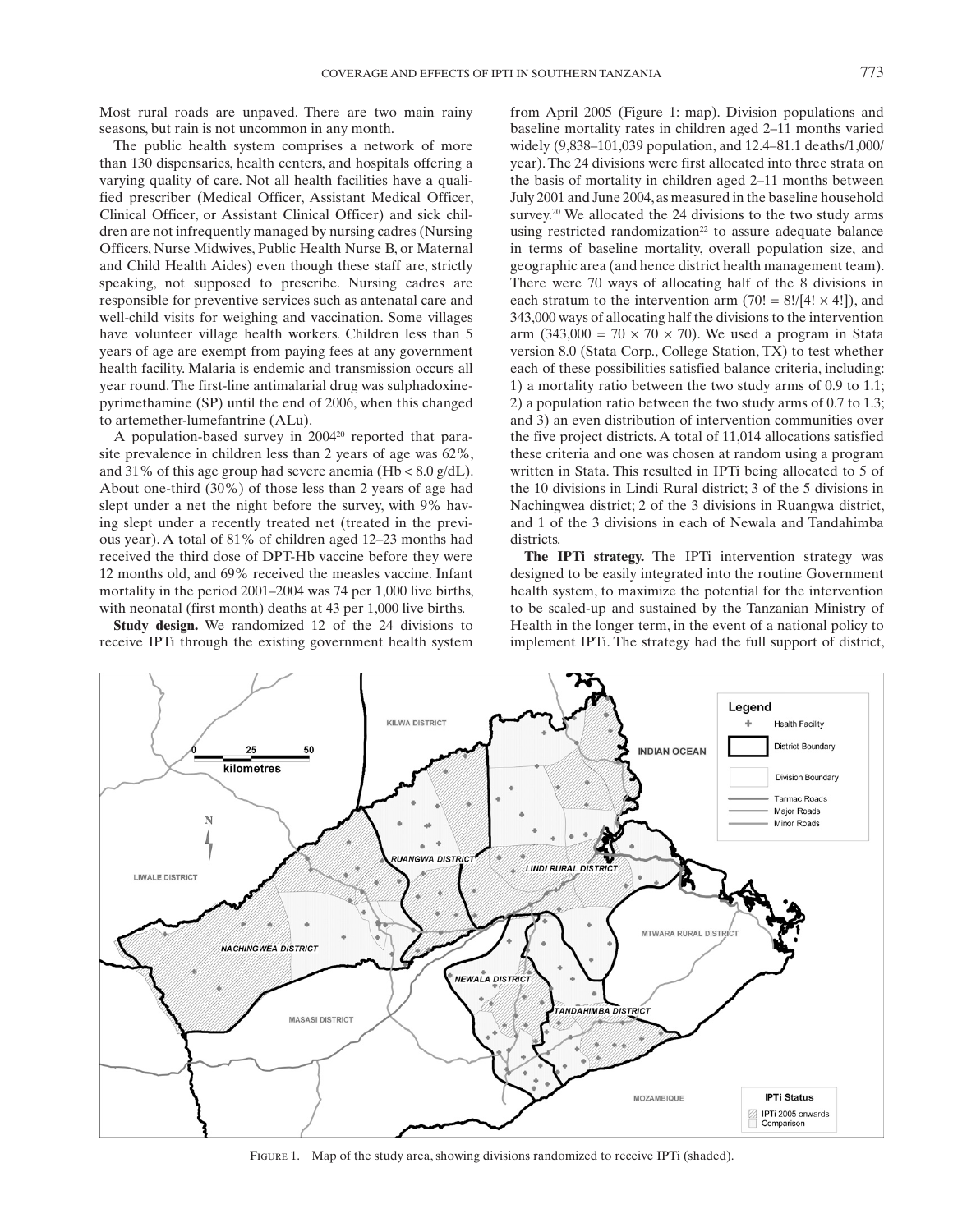Most rural roads are unpaved. There are two main rainy seasons, but rain is not uncommon in any month.

 The public health system comprises a network of more than 130 dispensaries, health centers, and hospitals offering a varying quality of care. Not all health facilities have a qualified prescriber (Medical Officer, Assistant Medical Officer, Clinical Officer, or Assistant Clinical Officer) and sick children are not infrequently managed by nursing cadres (Nursing Officers, Nurse Midwives, Public Health Nurse B, or Maternal and Child Health Aides) even though these staff are, strictly speaking, not supposed to prescribe. Nursing cadres are responsible for preventive services such as antenatal care and well-child visits for weighing and vaccination. Some villages have volunteer village health workers. Children less than 5 years of age are exempt from paying fees at any government health facility. Malaria is endemic and transmission occurs all year round. The first-line antimalarial drug was sulphadoxinepyrimethamine (SP) until the end of 2006, when this changed to artemether-lumefantrine (ALu).

A population-based survey in  $2004^{20}$  reported that parasite prevalence in children less than 2 years of age was 62%, and 31% of this age group had severe anemia (Hb <  $8.0 \text{ g/dL}$ ). About one-third (30%) of those less than 2 years of age had slept under a net the night before the survey, with 9% having slept under a recently treated net (treated in the previous year). A total of 81% of children aged 12–23 months had received the third dose of DPT-Hb vaccine before they were 12 months old, and 69% received the measles vaccine. Infant mortality in the period 2001–2004 was 74 per 1,000 live births, with neonatal (first month) deaths at 43 per 1,000 live births.

 **Study design.** We randomized 12 of the 24 divisions to receive IPTi through the existing government health system from April 2005 (Figure 1: map). Division populations and baseline mortality rates in children aged 2–11 months varied widely (9,838–101,039 population, and 12.4–81.1 deaths/1,000/ year). The 24 divisions were first allocated into three strata on the basis of mortality in children aged 2–11 months between July 2001 and June 2004, as measured in the baseline household survey. $20$  We allocated the 24 divisions to the two study arms using restricted randomization<sup>22</sup> to assure adequate balance in terms of baseline mortality, overall population size, and geographic area (and hence district health management team). There were 70 ways of allocating half of the 8 divisions in each stratum to the intervention arm  $(70! = 8!/[4! \times 4!])$ , and 343,000 ways of allocating half the divisions to the intervention arm (343,000 =  $70 \times 70 \times 70$ ). We used a program in Stata version 8.0 (Stata Corp., College Station, TX) to test whether each of these possibilities satisfied balance criteria, including: 1) a mortality ratio between the two study arms of 0.9 to 1.1; 2) a population ratio between the two study arms of 0.7 to 1.3; and 3) an even distribution of intervention communities over the five project districts. A total of 11,014 allocations satisfied these criteria and one was chosen at random using a program written in Stata. This resulted in IPTi being allocated to 5 of the 10 divisions in Lindi Rural district; 3 of the 5 divisions in Nachingwea district; 2 of the 3 divisions in Ruangwa district, and 1 of the 3 divisions in each of Newala and Tandahimba districts.

 **The IPTi strategy.** The IPTi intervention strategy was designed to be easily integrated into the routine Government health system, to maximize the potential for the intervention to be scaled-up and sustained by the Tanzanian Ministry of Health in the longer term, in the event of a national policy to implement IPTi. The strategy had the full support of district,



FIGURE 1. Map of the study area, showing divisions randomized to receive IPTi (shaded).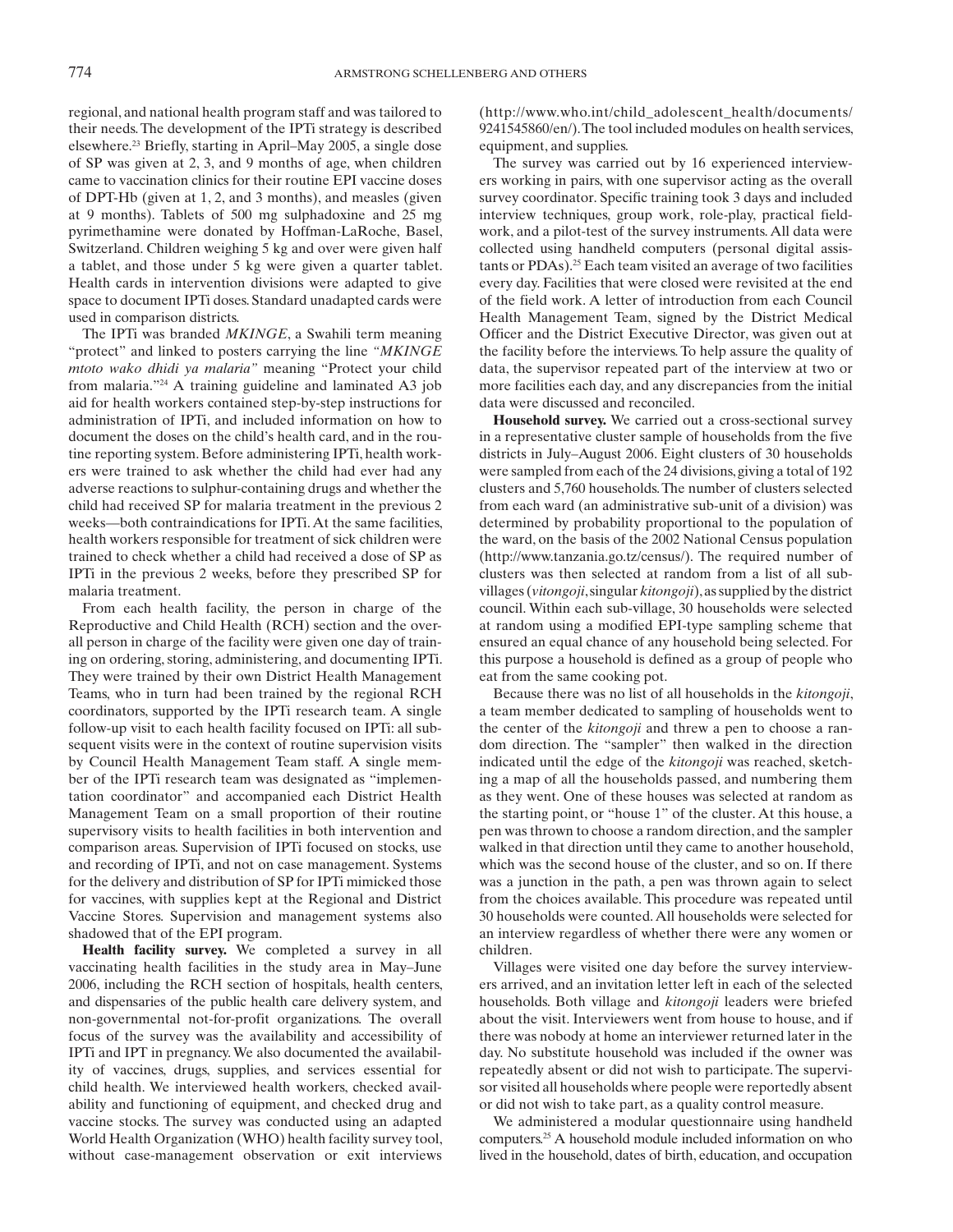regional, and national health program staff and was tailored to their needs. The development of the IPTi strategy is described elsewhere. 23 Briefly, starting in April–May 2005, a single dose of SP was given at 2, 3, and 9 months of age, when children came to vaccination clinics for their routine EPI vaccine doses of DPT-Hb (given at 1, 2, and 3 months), and measles (given at 9 months). Tablets of 500 mg sulphadoxine and 25 mg pyrimethamine were donated by Hoffman-LaRoche, Basel, Switzerland. Children weighing 5 kg and over were given half a tablet, and those under 5 kg were given a quarter tablet. Health cards in intervention divisions were adapted to give space to document IPTi doses. Standard unadapted cards were used in comparison districts.

 The IPTi was branded *MKINGE* , a Swahili term meaning "protect" and linked to posters carrying the line *"MKINGE mtoto wako dhidi ya malaria"* meaning "Protect your child from malaria."<sup>24</sup> A training guideline and laminated A3 job aid for health workers contained step-by-step instructions for administration of IPTi, and included information on how to document the doses on the child's health card, and in the routine reporting system. Before administering IPTi, health workers were trained to ask whether the child had ever had any adverse reactions to sulphur-containing drugs and whether the child had received SP for malaria treatment in the previous 2 weeks—both contraindications for IPTi. At the same facilities, health workers responsible for treatment of sick children were trained to check whether a child had received a dose of SP as IPTi in the previous 2 weeks, before they prescribed SP for malaria treatment.

 From each health facility, the person in charge of the Reproductive and Child Health (RCH) section and the overall person in charge of the facility were given one day of training on ordering, storing, administering, and documenting IPTi. They were trained by their own District Health Management Teams, who in turn had been trained by the regional RCH coordinators, supported by the IPTi research team. A single follow-up visit to each health facility focused on IPTi: all subsequent visits were in the context of routine supervision visits by Council Health Management Team staff. A single member of the IPTi research team was designated as "implementation coordinator" and accompanied each District Health Management Team on a small proportion of their routine supervisory visits to health facilities in both intervention and comparison areas. Supervision of IPTi focused on stocks, use and recording of IPTi, and not on case management. Systems for the delivery and distribution of SP for IPTi mimicked those for vaccines, with supplies kept at the Regional and District Vaccine Stores. Supervision and management systems also shadowed that of the EPI program.

 **Health facility survey.** We completed a survey in all vaccinating health facilities in the study area in May–June 2006, including the RCH section of hospitals, health centers, and dispensaries of the public health care delivery system, and non-governmental not-for-profit organizations. The overall focus of the survey was the availability and accessibility of IPTi and IPT in pregnancy. We also documented the availability of vaccines, drugs, supplies, and services essential for child health. We interviewed health workers, checked availability and functioning of equipment, and checked drug and vaccine stocks. The survey was conducted using an adapted World Health Organization (WHO) health facility survey tool, without case-management observation or exit interviews ( http://www.who.int/child\_adolescent\_health/documents/ 9241545860/en/). The tool included modules on health services, equipment, and supplies.

 The survey was carried out by 16 experienced interviewers working in pairs, with one supervisor acting as the overall survey coordinator. Specific training took 3 days and included interview techniques, group work, role-play, practical fieldwork, and a pilot-test of the survey instruments. All data were collected using handheld computers (personal digital assistants or PDAs).<sup>25</sup> Each team visited an average of two facilities every day. Facilities that were closed were revisited at the end of the field work. A letter of introduction from each Council Health Management Team, signed by the District Medical Officer and the District Executive Director, was given out at the facility before the interviews. To help assure the quality of data, the supervisor repeated part of the interview at two or more facilities each day, and any discrepancies from the initial data were discussed and reconciled.

 **Household survey.** We carried out a cross-sectional survey in a representative cluster sample of households from the five districts in July–August 2006. Eight clusters of 30 households were sampled from each of the 24 divisions, giving a total of 192 clusters and 5,760 households. The number of clusters selected from each ward (an administrative sub-unit of a division) was determined by probability proportional to the population of the ward, on the basis of the 2002 National Census population (http://www.tanzania.go.tz/census/). The required number of clusters was then selected at random from a list of all subvillages ( *vitongoji* , singular *kitongoji* ), as supplied by the district council. Within each sub-village, 30 households were selected at random using a modified EPI-type sampling scheme that ensured an equal chance of any household being selected. For this purpose a household is defined as a group of people who eat from the same cooking pot.

 Because there was no list of all households in the *kitongoji* , a team member dedicated to sampling of households went to the center of the *kitongoji* and threw a pen to choose a random direction. The "sampler" then walked in the direction indicated until the edge of the *kitongoji* was reached, sketching a map of all the households passed, and numbering them as they went. One of these houses was selected at random as the starting point, or "house 1" of the cluster. At this house, a pen was thrown to choose a random direction, and the sampler walked in that direction until they came to another household, which was the second house of the cluster, and so on. If there was a junction in the path, a pen was thrown again to select from the choices available. This procedure was repeated until 30 households were counted. All households were selected for an interview regardless of whether there were any women or children.

 Villages were visited one day before the survey interviewers arrived, and an invitation letter left in each of the selected households. Both village and *kitongoji* leaders were briefed about the visit. Interviewers went from house to house, and if there was nobody at home an interviewer returned later in the day. No substitute household was included if the owner was repeatedly absent or did not wish to participate. The supervisor visited all households where people were reportedly absent or did not wish to take part, as a quality control measure.

 We administered a modular questionnaire using handheld computers. 25 A household module included information on who lived in the household, dates of birth, education, and occupation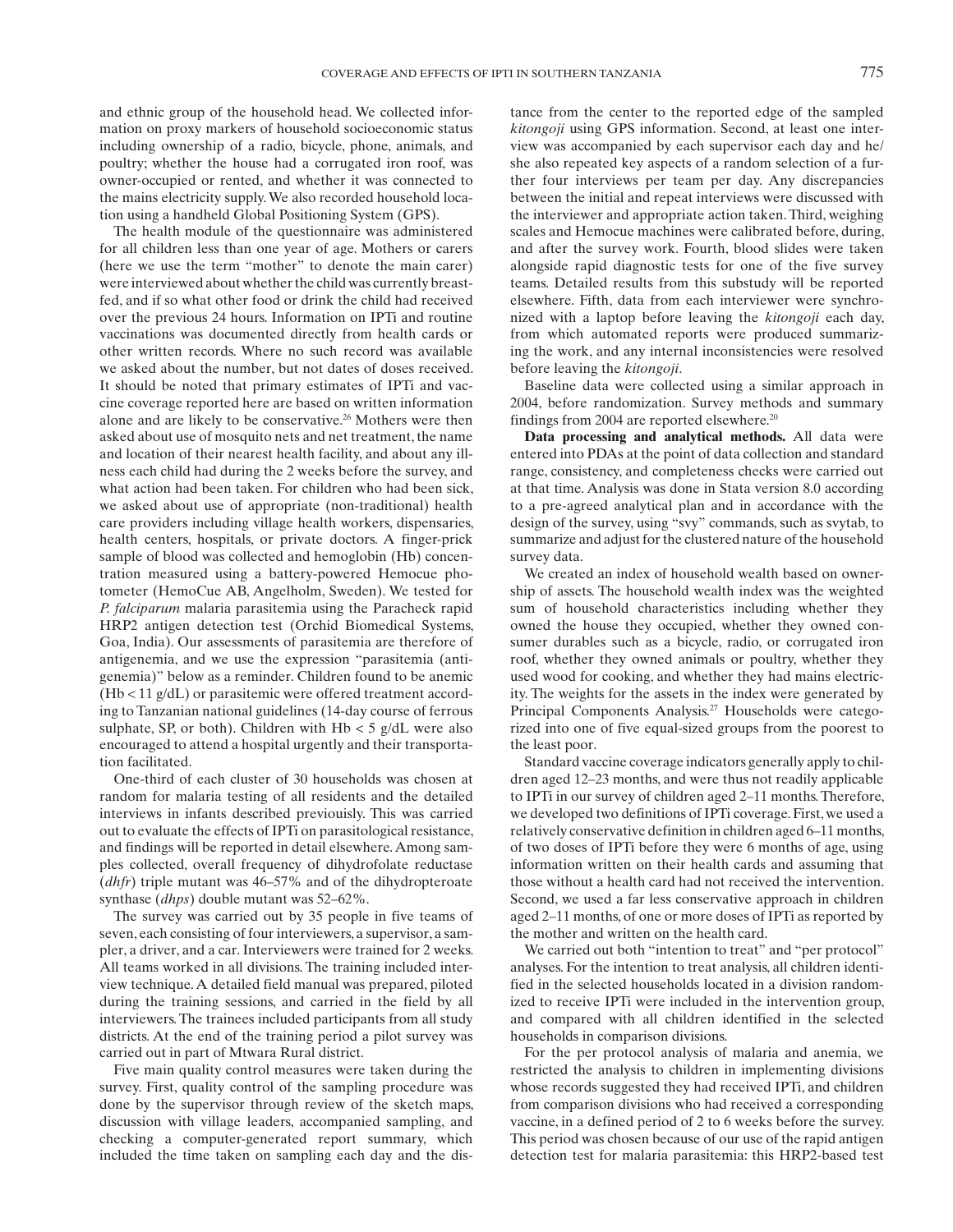and ethnic group of the household head. We collected information on proxy markers of household socioeconomic status including ownership of a radio, bicycle, phone, animals, and poultry; whether the house had a corrugated iron roof, was owner-occupied or rented, and whether it was connected to the mains electricity supply. We also recorded household location using a handheld Global Positioning System (GPS).

 The health module of the questionnaire was administered for all children less than one year of age. Mothers or carers (here we use the term "mother" to denote the main carer) were interviewed about whether the child was currently breastfed, and if so what other food or drink the child had received over the previous 24 hours. Information on IPTi and routine vaccinations was documented directly from health cards or other written records. Where no such record was available we asked about the number, but not dates of doses received. It should be noted that primary estimates of IPTi and vaccine coverage reported here are based on written information alone and are likely to be conservative.<sup>26</sup> Mothers were then asked about use of mosquito nets and net treatment, the name and location of their nearest health facility, and about any illness each child had during the 2 weeks before the survey, and what action had been taken. For children who had been sick, we asked about use of appropriate (non-traditional) health care providers including village health workers, dispensaries, health centers, hospitals, or private doctors. A finger-prick sample of blood was collected and hemoglobin (Hb) concentration measured using a battery-powered Hemocue photometer (HemoCue AB, Angelholm, Sweden). We tested for *P. falciparum* malaria parasitemia using the Paracheck rapid HRP2 antigen detection test (Orchid Biomedical Systems, Goa, India). Our assessments of parasitemia are therefore of antigenemia, and we use the expression "parasitemia (antigenemia)" below as a reminder. Children found to be anemic (Hb < 11 g/dL) or parasitemic were offered treatment according to Tanzanian national guidelines (14-day course of ferrous sulphate, SP, or both). Children with  $Hb < 5$  g/dL were also encouraged to attend a hospital urgently and their transportation facilitated.

 One-third of each cluster of 30 households was chosen at random for malaria testing of all residents and the detailed interviews in infants described previouisly. This was carried out to evaluate the effects of IPTi on parasitological resistance, and findings will be reported in detail elsewhere. Among samples collected, overall frequency of dihydrofolate reductase (*dhfr*) triple mutant was 46–57% and of the dihydropteroate synthase (*dhps*) double mutant was 52–62%.

 The survey was carried out by 35 people in five teams of seven, each consisting of four interviewers, a supervisor, a sampler, a driver, and a car. Interviewers were trained for 2 weeks. All teams worked in all divisions. The training included interview technique. A detailed field manual was prepared, piloted during the training sessions, and carried in the field by all interviewers. The trainees included participants from all study districts. At the end of the training period a pilot survey was carried out in part of Mtwara Rural district.

 Five main quality control measures were taken during the survey. First, quality control of the sampling procedure was done by the supervisor through review of the sketch maps, discussion with village leaders, accompanied sampling, and checking a computer-generated report summary, which included the time taken on sampling each day and the distance from the center to the reported edge of the sampled *kitongoji* using GPS information. Second, at least one interview was accompanied by each supervisor each day and he/ she also repeated key aspects of a random selection of a further four interviews per team per day. Any discrepancies between the initial and repeat interviews were discussed with the interviewer and appropriate action taken. Third, weighing scales and Hemocue machines were calibrated before, during, and after the survey work. Fourth, blood slides were taken alongside rapid diagnostic tests for one of the five survey teams. Detailed results from this substudy will be reported elsewhere. Fifth, data from each interviewer were synchronized with a laptop before leaving the *kitongoji* each day, from which automated reports were produced summarizing the work, and any internal inconsistencies were resolved before leaving the *kitongoji* .

 Baseline data were collected using a similar approach in 2004, before randomization. Survey methods and summary findings from 2004 are reported elsewhere.<sup>20</sup>

 **Data processing and analytical methods.** All data were entered into PDAs at the point of data collection and standard range, consistency, and completeness checks were carried out at that time. Analysis was done in Stata version 8.0 according to a pre-agreed analytical plan and in accordance with the design of the survey, using "svy" commands, such as svytab, to summarize and adjust for the clustered nature of the household survey data.

 We created an index of household wealth based on ownership of assets. The household wealth index was the weighted sum of household characteristics including whether they owned the house they occupied, whether they owned consumer durables such as a bicycle, radio, or corrugated iron roof, whether they owned animals or poultry, whether they used wood for cooking, and whether they had mains electricity. The weights for the assets in the index were generated by Principal Components Analysis.<sup>27</sup> Households were categorized into one of five equal-sized groups from the poorest to the least poor.

 Standard vaccine coverage indicators generally apply to children aged 12–23 months, and were thus not readily applicable to IPTi in our survey of children aged 2–11 months. Therefore, we developed two definitions of IPTi coverage. First, we used a relatively conservative definition in children aged 6–11 months, of two doses of IPTi before they were 6 months of age, using information written on their health cards and assuming that those without a health card had not received the intervention. Second, we used a far less conservative approach in children aged 2–11 months, of one or more doses of IPTi as reported by the mother and written on the health card.

 We carried out both "intention to treat" and "per protocol" analyses. For the intention to treat analysis, all children identified in the selected households located in a division randomized to receive IPTi were included in the intervention group, and compared with all children identified in the selected households in comparison divisions.

 For the per protocol analysis of malaria and anemia, we restricted the analysis to children in implementing divisions whose records suggested they had received IPTi, and children from comparison divisions who had received a corresponding vaccine, in a defined period of 2 to 6 weeks before the survey. This period was chosen because of our use of the rapid antigen detection test for malaria parasitemia: this HRP2-based test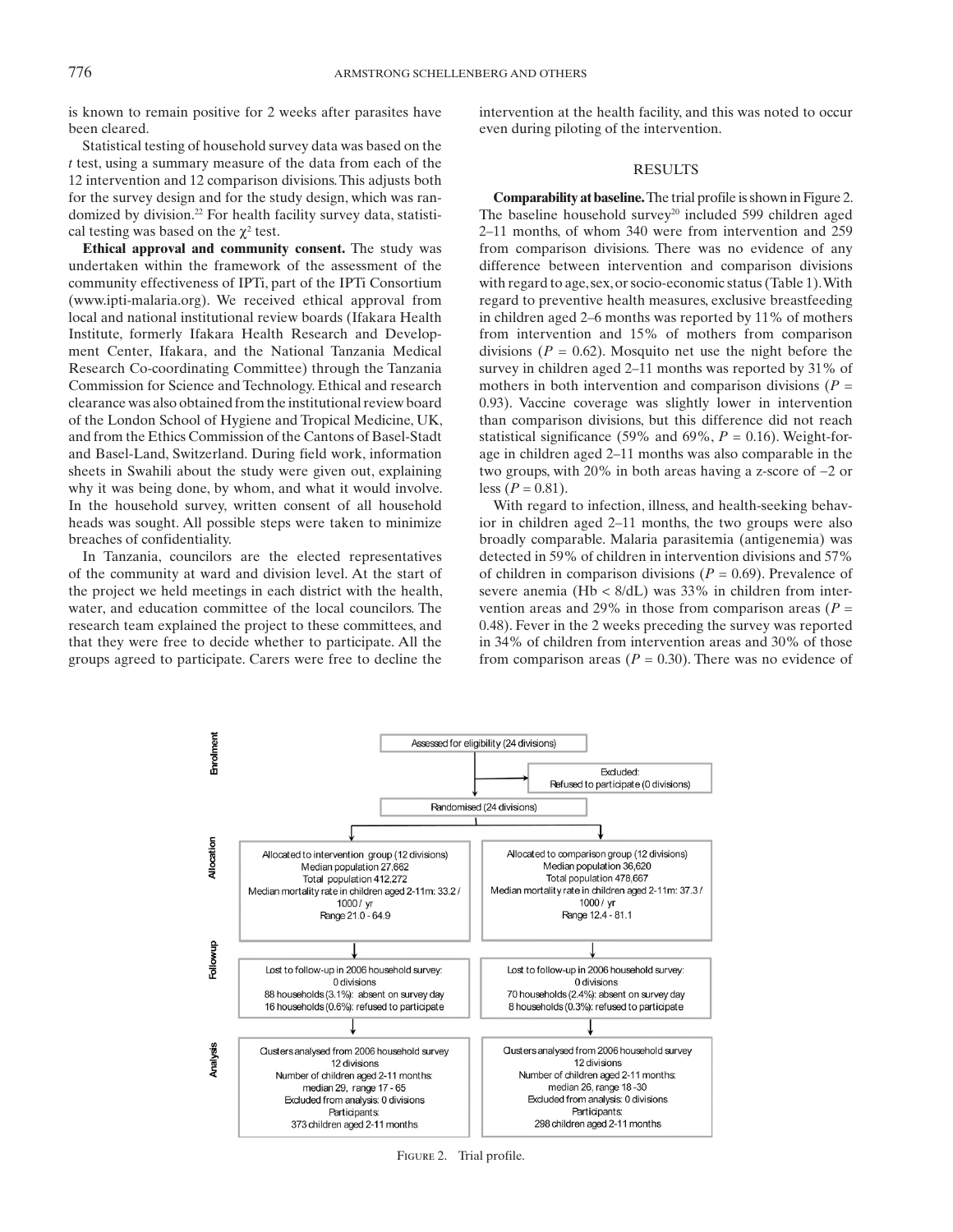is known to remain positive for 2 weeks after parasites have been cleared.

 Statistical testing of household survey data was based on the *t* test, using a summary measure of the data from each of the 12 intervention and 12 comparison divisions. This adjusts both for the survey design and for the study design, which was randomized by division.<sup>22</sup> For health facility survey data, statistical testing was based on the  $\chi^2$  test.

 **Ethical approval and community consent.** The study was undertaken within the framework of the assessment of the community effectiveness of IPTi, part of the IPTi Consortium (www.ipti-malaria.org). We received ethical approval from local and national institutional review boards (Ifakara Health Institute, formerly Ifakara Health Research and Development Center, Ifakara, and the National Tanzania Medical Research Co-coordinating Committee) through the Tanzania Commission for Science and Technology. Ethical and research clearance was also obtained from the institutional review board of the London School of Hygiene and Tropical Medicine, UK, and from the Ethics Commission of the Cantons of Basel-Stadt and Basel-Land, Switzerland. During field work, information sheets in Swahili about the study were given out, explaining why it was being done, by whom, and what it would involve. In the household survey, written consent of all household heads was sought. All possible steps were taken to minimize breaches of confidentiality.

 In Tanzania, councilors are the elected representatives of the community at ward and division level. At the start of the project we held meetings in each district with the health, water, and education committee of the local councilors. The research team explained the project to these committees, and that they were free to decide whether to participate. All the groups agreed to participate. Carers were free to decline the intervention at the health facility, and this was noted to occur even during piloting of the intervention.

### RESULTS

**Comparability at baseline.** The trial profile is shown in Figure 2. The baseline household survey<sup>20</sup> included 599 children aged 2–11 months, of whom 340 were from intervention and 259 from comparison divisions. There was no evidence of any difference between intervention and comparison divisions with regard to age, sex, or socio-economic status (Table 1). With regard to preventive health measures, exclusive breastfeeding in children aged 2–6 months was reported by 11% of mothers from intervention and 15% of mothers from comparison divisions ( $P = 0.62$ ). Mosquito net use the night before the survey in children aged 2–11 months was reported by 31% of mothers in both intervention and comparison divisions ( $P =$ 0.93). Vaccine coverage was slightly lower in intervention than comparison divisions, but this difference did not reach statistical significance (59% and 69%,  $P = 0.16$ ). Weight-forage in children aged 2–11 months was also comparable in the two groups, with 20% in both areas having a z-score of −2 or less  $(P = 0.81)$ .

 With regard to infection, illness, and health-seeking behavior in children aged 2–11 months, the two groups were also broadly comparable. Malaria parasitemia (antigenemia) was detected in 59% of children in intervention divisions and 57% of children in comparison divisions ( $P = 0.69$ ). Prevalence of severe anemia (Hb < 8/dL) was 33% in children from intervention areas and 29% in those from comparison areas ( $P =$ 0.48). Fever in the 2 weeks preceding the survey was reported in 34% of children from intervention areas and 30% of those from comparison areas ( $P = 0.30$ ). There was no evidence of



FIGURE 2. Trial profile.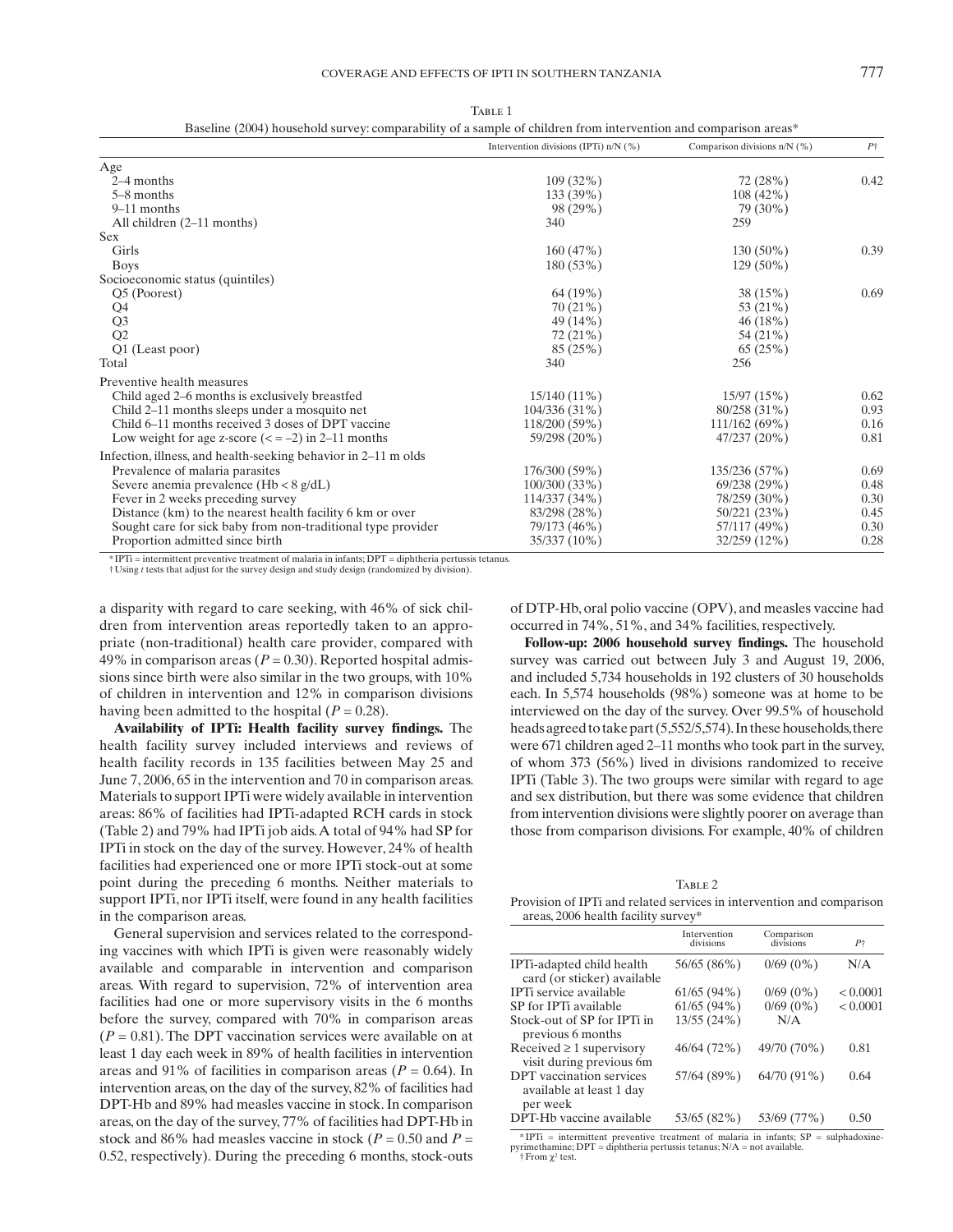| × |  |
|---|--|
|   |  |

|                                                                | Intervention divisions (IPTi) $n/N$ (%) | Comparison divisions $n/N$ (%) | $P+$ |
|----------------------------------------------------------------|-----------------------------------------|--------------------------------|------|
| Age                                                            |                                         |                                |      |
| 2–4 months                                                     | $109(32\%)$                             | 72 (28%)                       | 0.42 |
| 5–8 months                                                     | 133 (39%)                               | $108(42\%)$                    |      |
| $9-11$ months                                                  | 98 (29%)                                | 79 (30%)                       |      |
| All children (2–11 months)                                     | 340                                     | 259                            |      |
| Sex                                                            |                                         |                                |      |
| Girls                                                          | 160(47%)                                | $130(50\%)$                    | 0.39 |
| <b>Boys</b>                                                    | 180 (53%)                               | $129(50\%)$                    |      |
| Socioeconomic status (quintiles)                               |                                         |                                |      |
| Q5 (Poorest)                                                   | 64 (19%)                                | 38 (15%)                       | 0.69 |
| Q4                                                             | $70(21\%)$                              | 53 (21%)                       |      |
| Q <sub>3</sub>                                                 | 49 (14%)                                | 46(18%)                        |      |
| O <sub>2</sub>                                                 | 72 (21%)                                | 54 (21%)                       |      |
| Q1 (Least poor)                                                | 85 (25%)                                | 65(25%)                        |      |
| Total                                                          | 340                                     | 256                            |      |
| Preventive health measures                                     |                                         |                                |      |
| Child aged 2–6 months is exclusively breastfed                 | $15/140(11\%)$                          | 15/97 (15%)                    | 0.62 |
| Child 2–11 months sleeps under a mosquito net                  | 104/336 (31%)                           | 80/258 (31%)                   | 0.93 |
| Child 6–11 months received 3 doses of DPT vaccine              | 118/200 (59%)                           | 111/162 (69%)                  | 0.16 |
| Low weight for age z-score $(< = -2$ ) in 2–11 months          | 59/298 (20%)                            | 47/237 (20%)                   | 0.81 |
| Infection, illness, and health-seeking behavior in 2–11 m olds |                                         |                                |      |
| Prevalence of malaria parasites                                | 176/300 (59%)                           | 135/236 (57%)                  | 0.69 |
| Severe anemia prevalence $(Hb < 8 g/dL)$                       | 100/300 (33%)                           | 69/238 (29%)                   | 0.48 |
| Fever in 2 weeks preceding survey                              | 114/337 (34%)                           | 78/259 (30%)                   | 0.30 |
| Distance (km) to the nearest health facility 6 km or over      | 83/298 (28%)                            | 50/221 (23%)                   | 0.45 |
| Sought care for sick baby from non-traditional type provider   | 79/173 (46%)                            | 57/117 (49%)                   | 0.30 |
| Proportion admitted since birth                                | 35/337 (10%)                            | 32/259 (12%)                   | 0.28 |
|                                                                |                                         |                                |      |

TABLE 1 Baseline (2004) household survey: comparability of a sample of children from intervention and comparison areas\*

\* IPTi = intermittent preventive treatment of malaria in infants; DPT = diphtheria pertussis tetanus.

† Using *t* tests that adjust for the survey design and study design (randomized by division).

a disparity with regard to care seeking, with 46% of sick children from intervention areas reportedly taken to an appropriate (non-traditional) health care provider, compared with 49% in comparison areas ( $P = 0.30$ ). Reported hospital admissions since birth were also similar in the two groups, with 10% of children in intervention and 12% in comparison divisions having been admitted to the hospital  $(P = 0.28)$ .

 **Availability of IPTi: Health facility survey findings.** The health facility survey included interviews and reviews of health facility records in 135 facilities between May 25 and June 7, 2006, 65 in the intervention and 70 in comparison areas. Materials to support IPTi were widely available in intervention areas: 86% of facilities had IPTi-adapted RCH cards in stock (Table 2) and 79% had IPTi job aids. A total of 94% had SP for IPTi in stock on the day of the survey. However, 24% of health facilities had experienced one or more IPTi stock-out at some point during the preceding 6 months. Neither materials to support IPTi, nor IPTi itself, were found in any health facilities in the comparison areas.

 General supervision and services related to the corresponding vaccines with which IPTi is given were reasonably widely available and comparable in intervention and comparison areas. With regard to supervision, 72% of intervention area facilities had one or more supervisory visits in the 6 months before the survey, compared with 70% in comparison areas  $(P = 0.81)$ . The DPT vaccination services were available on at least 1 day each week in 89% of health facilities in intervention areas and 91% of facilities in comparison areas ( $P = 0.64$ ). In intervention areas, on the day of the survey, 82% of facilities had DPT-Hb and 89% had measles vaccine in stock. In comparison areas, on the day of the survey, 77% of facilities had DPT-Hb in stock and 86% had measles vaccine in stock ( $P = 0.50$  and  $P =$ 0.52, respectively). During the preceding 6 months, stock-outs

of DTP-Hb, oral polio vaccine (OPV), and measles vaccine had occurred in 74%, 51%, and 34% facilities, respectively.

 **Follow-up: 2006 household survey findings.** The household survey was carried out between July 3 and August 19, 2006, and included 5,734 households in 192 clusters of 30 households each. In 5,574 households (98%) someone was at home to be interviewed on the day of the survey. Over 99.5% of household heads agreed to take part (5,552/5,574). In these households, there were 671 children aged 2–11 months who took part in the survey, of whom 373 (56%) lived in divisions randomized to receive IPTi (Table 3). The two groups were similar with regard to age and sex distribution, but there was some evidence that children from intervention divisions were slightly poorer on average than those from comparison divisions. For example, 40% of children

TABLE 2 Provision of IPTi and related services in intervention and comparison reas, 2006 health facility survey

|                                                                  | Intervention<br>divisions | Comparison<br>divisions | Р†       |
|------------------------------------------------------------------|---------------------------|-------------------------|----------|
| IPTi-adapted child health<br>card (or sticker) available         | 56/65 (86%)               | $0/69(0\%)$             | N/A      |
| <b>IPTi</b> service available                                    | $61/65(94\%)$             | $0/69(0\%)$             | < 0.0001 |
| SP for IPTi available                                            | $61/65(94\%)$             | $0/69(0\%)$             | < 0.0001 |
| Stock-out of SP for IPTi in<br>previous 6 months                 | 13/55 (24%)               | N/A                     |          |
| Received $\geq 1$ supervisory<br>visit during previous 6m        | 46/64 (72%)               | 49/70 (70%)             | 0.81     |
| DPT vaccination services<br>available at least 1 day<br>per week | 57/64 (89%)               | 64/70 (91%)             | 0.64     |
| DPT-Hb vaccine available                                         | 53/65 (82%)               | 53/69 (77%)             | 0.50     |

 $* IPTi$  = intermittent preventive treatment of malaria in infants;  $SP = \text{subphadoxine}$ pyrimethamine;  $DPT =$  diphtheria pertussis tetanus;  $N/A =$  not available. † From χ<sup>2</sup> test.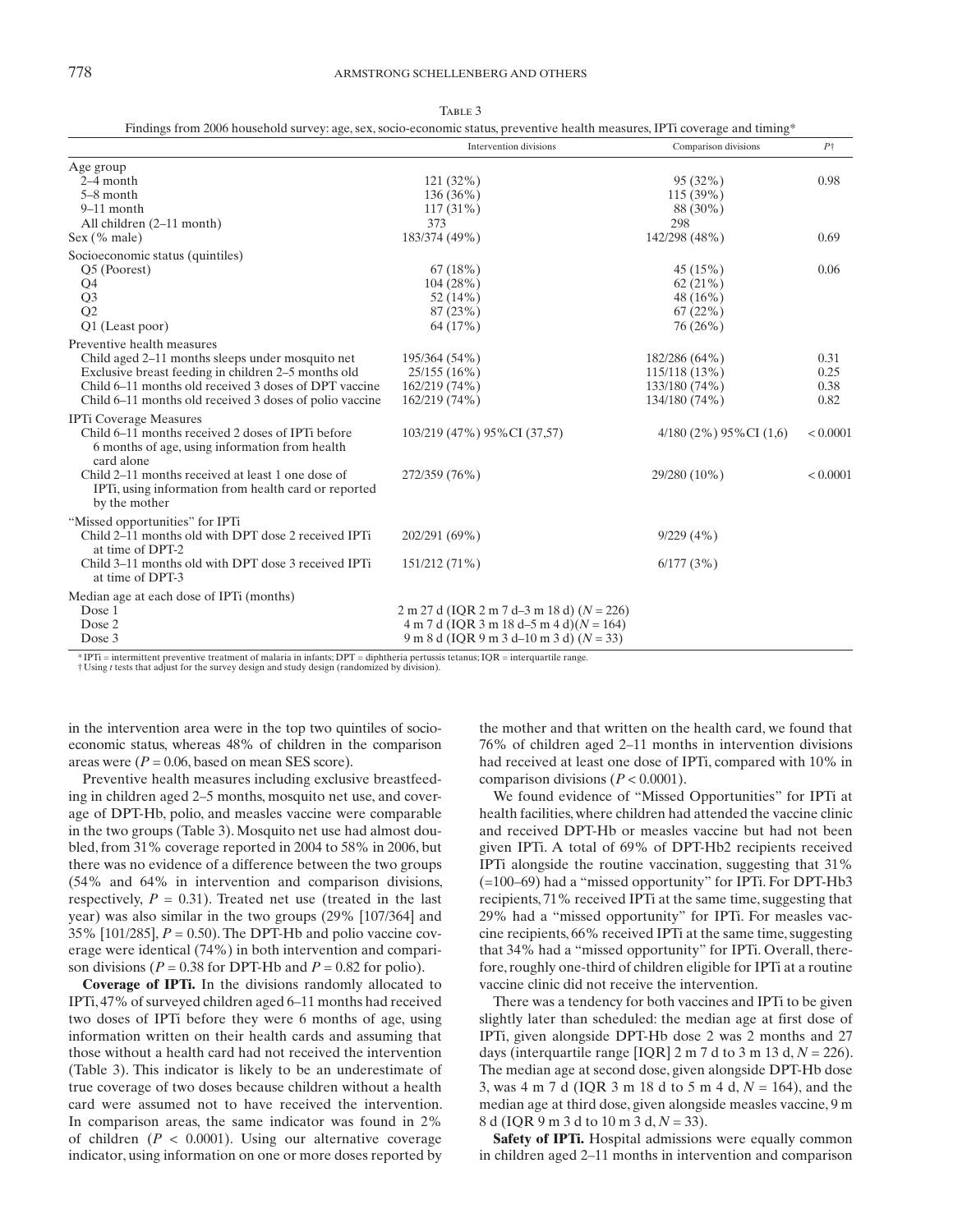|                                                                                                                                                | Findings from 2006 household survey: age, sex, socio-economic status, preventive health measures, IPTi coverage and timing* |                           |          |
|------------------------------------------------------------------------------------------------------------------------------------------------|-----------------------------------------------------------------------------------------------------------------------------|---------------------------|----------|
|                                                                                                                                                | Intervention divisions                                                                                                      | Comparison divisions      | $P+$     |
| Age group                                                                                                                                      |                                                                                                                             |                           |          |
| $2-4$ month                                                                                                                                    | $121(32\%)$                                                                                                                 | $95(32\%)$                | 0.98     |
| $5-8$ month                                                                                                                                    | $136(36\%)$                                                                                                                 | $115(39\%)$               |          |
| $9-11$ month                                                                                                                                   | $117(31\%)$                                                                                                                 | 88 (30%)                  |          |
| All children (2–11 month)                                                                                                                      | 373                                                                                                                         | 298                       |          |
| Sex (% male)                                                                                                                                   | 183/374 (49%)                                                                                                               | 142/298 (48%)             | 0.69     |
| Socioeconomic status (quintiles)                                                                                                               |                                                                                                                             |                           |          |
| Q5 (Poorest)                                                                                                                                   | 67(18%)                                                                                                                     | 45(15%)                   | 0.06     |
| Q <sub>4</sub>                                                                                                                                 | 104(28%)                                                                                                                    | $62(21\%)$                |          |
| O <sub>3</sub>                                                                                                                                 | 52(14%)                                                                                                                     | 48 $(16\%)$               |          |
| O <sub>2</sub>                                                                                                                                 | 87 (23%)                                                                                                                    | 67(22%)                   |          |
| Q1 (Least poor)                                                                                                                                | 64 (17%)                                                                                                                    | 76 (26%)                  |          |
| Preventive health measures                                                                                                                     |                                                                                                                             |                           |          |
| Child aged 2–11 months sleeps under mosquito net                                                                                               | 195/364 (54%)                                                                                                               | 182/286 (64%)             | 0.31     |
| Exclusive breast feeding in children 2–5 months old                                                                                            | 25/155 (16%)                                                                                                                | 115/118(13%)              | 0.25     |
| Child 6–11 months old received 3 doses of DPT vaccine                                                                                          | 162/219 (74%)                                                                                                               | 133/180 (74%)             | 0.38     |
| Child 6-11 months old received 3 doses of polio vaccine                                                                                        | 162/219 (74%)                                                                                                               | 134/180 (74%)             | 0.82     |
|                                                                                                                                                |                                                                                                                             |                           |          |
| <b>IPTi Coverage Measures</b>                                                                                                                  |                                                                                                                             |                           |          |
| Child 6-11 months received 2 doses of IPTi before                                                                                              | 103/219 (47%) 95% CI (37,57)                                                                                                | $4/180$ (2%) 95% CI (1,6) | < 0.0001 |
| 6 months of age, using information from health                                                                                                 |                                                                                                                             |                           |          |
| card alone                                                                                                                                     |                                                                                                                             |                           |          |
| Child 2–11 months received at least 1 one dose of                                                                                              | 272/359 (76%)                                                                                                               | 29/280 (10%)              | < 0.0001 |
| IPTi, using information from health card or reported                                                                                           |                                                                                                                             |                           |          |
| by the mother                                                                                                                                  |                                                                                                                             |                           |          |
| "Missed opportunities" for IPTi                                                                                                                |                                                                                                                             |                           |          |
| Child 2–11 months old with DPT dose 2 received IPTi                                                                                            | 202/291 (69%)                                                                                                               | 9/229(4%)                 |          |
| at time of DPT-2                                                                                                                               |                                                                                                                             |                           |          |
| Child 3–11 months old with DPT dose 3 received IPTi                                                                                            | 151/212 (71%)                                                                                                               | 6/177(3%)                 |          |
| at time of DPT-3                                                                                                                               |                                                                                                                             |                           |          |
| Median age at each dose of IPTi (months)                                                                                                       |                                                                                                                             |                           |          |
| Dose 1                                                                                                                                         | $2 m 27 d (IQR 2 m 7 d-3 m 18 d) (N = 226)$                                                                                 |                           |          |
| Dose 2                                                                                                                                         | $4 m 7 d (IOR 3 m 18 d-5 m 4 d)(N = 164)$                                                                                   |                           |          |
| Dose 3                                                                                                                                         | 9 m 8 d (IQR 9 m 3 d–10 m 3 d) $(N = 33)$                                                                                   |                           |          |
| $*$ IPT <sub>i</sub> = intermittent preventive treatment of malaria in infants: DPT = diphtheria pertussis tetanus: IOR = interquartile range. |                                                                                                                             |                           |          |

TABLE 3

† Using *t* tests that adjust for the survey design and study design (randomized by division).

in the intervention area were in the top two quintiles of socioeconomic status, whereas 48% of children in the comparison areas were  $(P = 0.06$ , based on mean SES score).

 Preventive health measures including exclusive breastfeeding in children aged 2–5 months, mosquito net use, and coverage of DPT-Hb, polio, and measles vaccine were comparable in the two groups (Table 3). Mosquito net use had almost doubled, from 31% coverage reported in 2004 to 58% in 2006, but there was no evidence of a difference between the two groups (54% and 64% in intervention and comparison divisions, respectively,  $P = 0.31$ ). Treated net use (treated in the last year) was also similar in the two groups (29% [107/364] and 35% [101/285], *P* = 0.50). The DPT-Hb and polio vaccine coverage were identical (74%) in both intervention and comparison divisions ( $P = 0.38$  for DPT-Hb and  $P = 0.82$  for polio).

 **Coverage of IPTi.** In the divisions randomly allocated to IPTi, 47% of surveyed children aged 6–11 months had received two doses of IPTi before they were 6 months of age, using information written on their health cards and assuming that those without a health card had not received the intervention (Table 3). This indicator is likely to be an underestimate of true coverage of two doses because children without a health card were assumed not to have received the intervention. In comparison areas, the same indicator was found in 2% of children  $(P < 0.0001)$ . Using our alternative coverage indicator, using information on one or more doses reported by the mother and that written on the health card, we found that 76% of children aged 2–11 months in intervention divisions had received at least one dose of IPTi, compared with 10% in comparison divisions  $(P < 0.0001)$ .

 We found evidence of "Missed Opportunities" for IPTi at health facilities, where children had attended the vaccine clinic and received DPT-Hb or measles vaccine but had not been given IPTi. A total of 69% of DPT-Hb2 recipients received IPTi alongside the routine vaccination, suggesting that 31% (=100–69) had a "missed opportunity" for IPTi. For DPT-Hb3 recipients, 71% received IPTi at the same time, suggesting that 29% had a "missed opportunity" for IPTi. For measles vaccine recipients, 66% received IPTi at the same time, suggesting that 34% had a "missed opportunity" for IPTi. Overall, therefore, roughly one-third of children eligible for IPTi at a routine vaccine clinic did not receive the intervention.

 There was a tendency for both vaccines and IPTi to be given slightly later than scheduled: the median age at first dose of IPTi, given alongside DPT-Hb dose 2 was 2 months and 27 days (interquartile range [IQR] 2 m 7 d to 3 m 13 d, *N* = 226). The median age at second dose, given alongside DPT-Hb dose 3, was 4 m 7 d (IQR 3 m 18 d to 5 m 4 d, *N* = 164), and the median age at third dose, given alongside measles vaccine, 9 m 8 d (IQR 9 m 3 d to 10 m 3 d, *N* = 33).

Safety of IPTi. Hospital admissions were equally common in children aged 2–11 months in intervention and comparison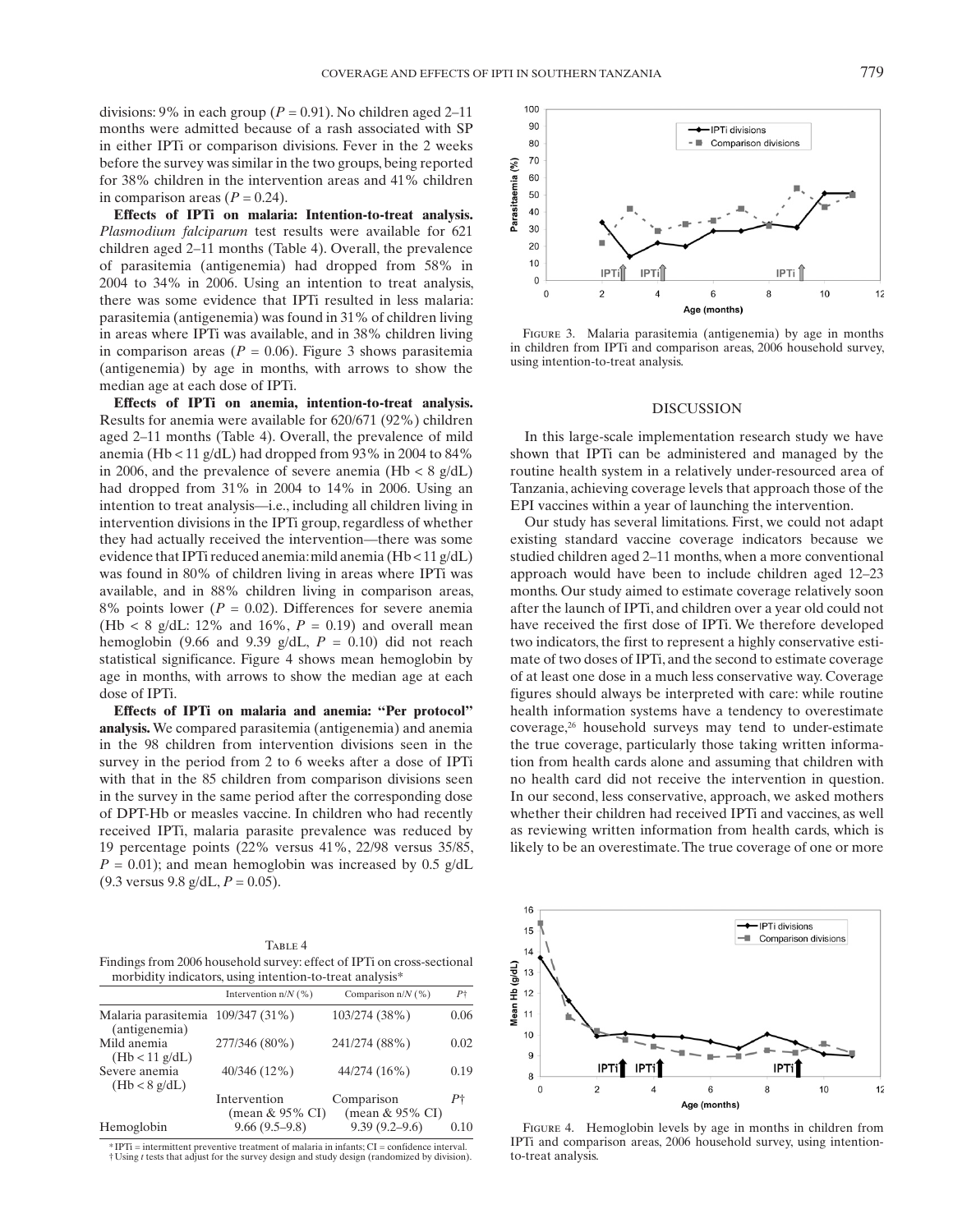divisions: 9% in each group ( $P = 0.91$ ). No children aged 2–11 months were admitted because of a rash associated with SP in either IPTi or comparison divisions. Fever in the 2 weeks before the survey was similar in the two groups, being reported for 38% children in the intervention areas and 41% children in comparison areas  $(P = 0.24)$ .

 **Effects of IPTi on malaria: Intention-to-treat analysis.** *Plasmodium falciparum* test results were available for 621 children aged 2–11 months (Table 4). Overall, the prevalence of parasitemia (antigenemia) had dropped from 58% in 2004 to 34% in 2006. Using an intention to treat analysis, there was some evidence that IPTi resulted in less malaria: parasitemia (antigenemia) was found in 31% of children living in areas where IPTi was available, and in 38% children living in comparison areas ( $P = 0.06$ ). Figure 3 shows parasitemia (antigenemia) by age in months, with arrows to show the median age at each dose of IPTi.

**Effects of IPTi on anemia, intention-to-treat analysis.** Results for anemia were available for 620/671 (92%) children aged 2-11 months (Table 4). Overall, the prevalence of mild anemia (Hb < 11 g/dL) had dropped from 93% in 2004 to 84% in 2006, and the prevalence of severe anemia (Hb  $< 8$  g/dL) had dropped from 31% in 2004 to 14% in 2006. Using an intention to treat analysis—i.e., including all children living in intervention divisions in the IPTi group, regardless of whether they had actually received the intervention—there was some evidence that IPTi reduced anemia: mild anemia (Hb < 11 g/dL) was found in 80% of children living in areas where IPTi was available, and in 88% children living in comparison areas, 8% points lower ( $P = 0.02$ ). Differences for severe anemia (Hb < 8 g/dL: 12% and 16%,  $P = 0.19$ ) and overall mean hemoglobin (9.66 and 9.39 g/dL,  $P = 0.10$ ) did not reach statistical significance. Figure 4 shows mean hemoglobin by age in months, with arrows to show the median age at each dose of IPTi.

 **Effects of IPTi on malaria and anemia: "Per protocol" analysis.** We compared parasitemia (antigenemia) and anemia in the 98 children from intervention divisions seen in the survey in the period from 2 to 6 weeks after a dose of IPTi with that in the 85 children from comparison divisions seen in the survey in the same period after the corresponding dose of DPT-Hb or measles vaccine. In children who had recently received IPTi, malaria parasite prevalence was reduced by 19 percentage points (22% versus 41%, 22/98 versus 35/85,  $P = 0.01$ ); and mean hemoglobin was increased by 0.5 g/dL  $(9.3 \text{ versus } 9.8 \text{ g/dL}, P = 0.05).$ 

| TABLE 4                                                               |
|-----------------------------------------------------------------------|
| Findings from 2006 household survey: effect of IPT on cross-sectional |
| morbidity indicators, using intention-to-treat analysis <sup>*</sup>  |

|                                                    | Intervention $n/N$ (%)             | Comparison $n/N$ (%)             | Ρ†   |
|----------------------------------------------------|------------------------------------|----------------------------------|------|
| Malaria parasitemia 109/347 (31%)<br>(antigenemia) |                                    | 103/274 (38%)                    | 0.06 |
| Mild anemia<br>(Hb < 11 g/dL)                      | 277/346 (80%)                      | 241/274 (88%)                    | 0.02 |
| Severe anemia<br>(Hb < 8 g/dL)                     | 40/346 (12%)                       | 44/274 (16%)                     | 0.19 |
|                                                    | Intervention<br>(mean $& 95\%$ CI) | Comparison<br>(mean $& 95\%$ CI) | P†   |
| Hemoglobin                                         | $9.66(9.5-9.8)$                    | $9.39(9.2 - 9.6)$                | 0.10 |

 \* IPTi = intermittent preventive treatment of malaria in infants; CI = confidence interval. † Using *t* tests that adjust for the survey design and study design (randomized by division).



 Figure 3. Malaria parasitemia (antigenemia) by age in months in children from IPTi and comparison areas, 2006 household survey, using intention-to-treat analysis.

#### DISCUSSION

 In this large-scale implementation research study we have shown that IPTi can be administered and managed by the routine health system in a relatively under-resourced area of Tanzania, achieving coverage levels that approach those of the EPI vaccines within a year of launching the intervention.

 Our study has several limitations. First, we could not adapt existing standard vaccine coverage indicators because we studied children aged 2–11 months, when a more conventional approach would have been to include children aged 12–23 months. Our study aimed to estimate coverage relatively soon after the launch of IPTi, and children over a year old could not have received the first dose of IPTi. We therefore developed two indicators, the first to represent a highly conservative estimate of two doses of IPTi, and the second to estimate coverage of at least one dose in a much less conservative way. Coverage figures should always be interpreted with care: while routine health information systems have a tendency to overestimate coverage,<sup>26</sup> household surveys may tend to under-estimate the true coverage, particularly those taking written information from health cards alone and assuming that children with no health card did not receive the intervention in question. In our second, less conservative, approach, we asked mothers whether their children had received IPTi and vaccines, as well as reviewing written information from health cards, which is likely to be an overestimate. The true coverage of one or more



FIGURE 4. Hemoglobin levels by age in months in children from IPTi and comparison areas, 2006 household survey, using intentionto-treat analysis.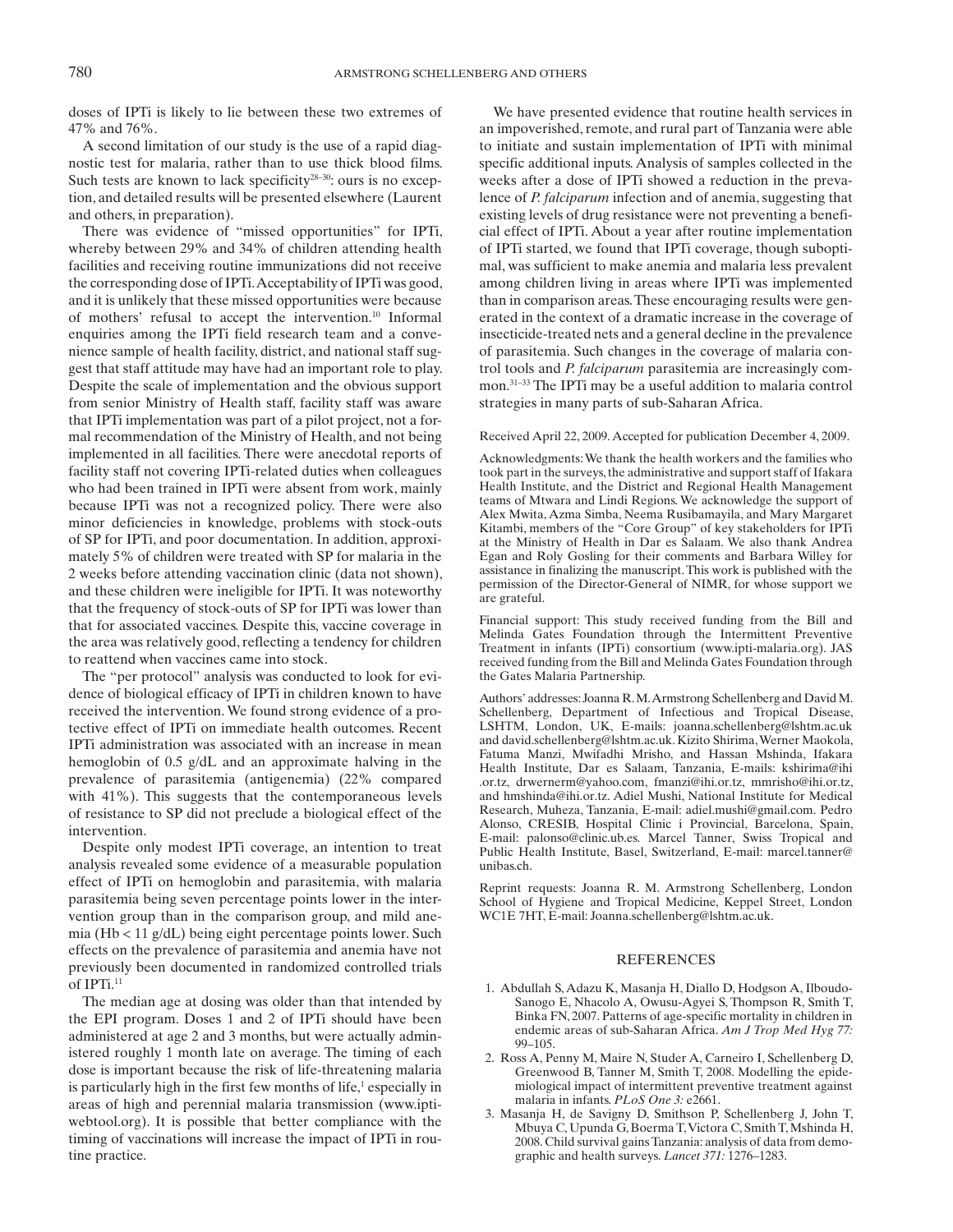doses of IPTi is likely to lie between these two extremes of 47% and 76%.

 A second limitation of our study is the use of a rapid diagnostic test for malaria, rather than to use thick blood films. Such tests are known to lack specificity $28-30$ : ours is no exception, and detailed results will be presented elsewhere (Laurent and others, in preparation).

 There was evidence of "missed opportunities" for IPTi, whereby between 29% and 34% of children attending health facilities and receiving routine immunizations did not receive the corresponding dose of IPTi. Acceptability of IPTi was good, and it is unlikely that these missed opportunities were because of mothers' refusal to accept the intervention.<sup>10</sup> Informal enquiries among the IPTi field research team and a convenience sample of health facility, district, and national staff suggest that staff attitude may have had an important role to play. Despite the scale of implementation and the obvious support from senior Ministry of Health staff, facility staff was aware that IPTi implementation was part of a pilot project, not a formal recommendation of the Ministry of Health, and not being implemented in all facilities. There were anecdotal reports of facility staff not covering IPTi-related duties when colleagues who had been trained in IPTi were absent from work, mainly because IPTi was not a recognized policy. There were also minor deficiencies in knowledge, problems with stock-outs of SP for IPTi, and poor documentation. In addition, approximately 5% of children were treated with SP for malaria in the 2 weeks before attending vaccination clinic (data not shown), and these children were ineligible for IPTi. It was noteworthy that the frequency of stock-outs of SP for IPTi was lower than that for associated vaccines. Despite this, vaccine coverage in the area was relatively good, reflecting a tendency for children to reattend when vaccines came into stock.

 The "per protocol" analysis was conducted to look for evidence of biological efficacy of IPTi in children known to have received the intervention. We found strong evidence of a protective effect of IPTi on immediate health outcomes. Recent IPTi administration was associated with an increase in mean hemoglobin of 0.5 g/dL and an approximate halving in the prevalence of parasitemia (antigenemia) (22% compared with 41%). This suggests that the contemporaneous levels of resistance to SP did not preclude a biological effect of the intervention.

 Despite only modest IPTi coverage, an intention to treat analysis revealed some evidence of a measurable population effect of IPTi on hemoglobin and parasitemia, with malaria parasitemia being seven percentage points lower in the intervention group than in the comparison group, and mild anemia (Hb < 11 g/dL) being eight percentage points lower. Such effects on the prevalence of parasitemia and anemia have not previously been documented in randomized controlled trials of IPTi.<sup>11</sup>

 The median age at dosing was older than that intended by the EPI program. Doses 1 and 2 of IPTi should have been administered at age 2 and 3 months, but were actually administered roughly 1 month late on average. The timing of each dose is important because the risk of life-threatening malaria is particularly high in the first few months of life,<sup>1</sup> especially in areas of high and perennial malaria transmission ( www.iptiwebtool.org). It is possible that better compliance with the timing of vaccinations will increase the impact of IPTi in routine practice.

 We have presented evidence that routine health services in an impoverished, remote, and rural part of Tanzania were able to initiate and sustain implementation of IPTi with minimal specific additional inputs. Analysis of samples collected in the weeks after a dose of IPTi showed a reduction in the prevalence of *P. falciparum* infection and of anemia, suggesting that existing levels of drug resistance were not preventing a beneficial effect of IPTi. About a year after routine implementation of IPTi started, we found that IPTi coverage, though suboptimal, was sufficient to make anemia and malaria less prevalent among children living in areas where IPTi was implemented than in comparison areas. These encouraging results were generated in the context of a dramatic increase in the coverage of insecticide-treated nets and a general decline in the prevalence of parasitemia. Such changes in the coverage of malaria control tools and *P. falciparum* parasitemia are increasingly common.<sup>31-33</sup> The IPTi may be a useful addition to malaria control strategies in many parts of sub-Saharan Africa.

#### Received April 22, 2009. Accepted for publication December 4, 2009.

 Acknowledgments: We thank the health workers and the families who took part in the surveys, the administrative and support staff of Ifakara Health Institute, and the District and Regional Health Management teams of Mtwara and Lindi Regions. We acknowledge the support of Alex Mwita, Azma Simba, Neema Rusibamayila, and Mary Margaret Kitambi, members of the "Core Group" of key stakeholders for IPTi at the Ministry of Health in Dar es Salaam. We also thank Andrea Egan and Roly Gosling for their comments and Barbara Willey for assistance in finalizing the manuscript. This work is published with the permission of the Director-General of NIMR, for whose support we are grateful.

 Financial support: This study received funding from the Bill and Melinda Gates Foundation through the Intermittent Preventive Treatment in infants (IPTi) consortium ( www.ipti-malaria.org ). JAS received funding from the Bill and Melinda Gates Foundation through the Gates Malaria Partnership.

 Authors' addresses: Joanna R. M. Armstrong Schellenberg and David M. Schellenberg, Department of Infectious and Tropical Disease, LSHTM, London, UK, E-mails: joanna.schellenberg@lshtm.ac.uk and david.schellenberg@lshtm.ac.uk. Kizito Shirima, Werner Maokola, Fatuma Manzi, Mwifadhi Mrisho, and Hassan Mshinda, Ifakara Health Institute, Dar es Salaam, Tanzania, E-mails: kshirima@ihi .or.tz, drwernerm@yahoo.com, fmanzi@ihi.or.tz, mmrisho@ihi.or.tz, and hmshinda@ihi.or.tz. Adiel Mushi, National Institute for Medical Research, Muheza, Tanzania, E-mail: adiel.mushi@gmail.com. Pedro Alonso, CRESIB, Hospital Clinic i Provincial, Barcelona, Spain, E-mail: palonso@clinic.ub.es. Marcel Tanner, Swiss Tropical and Public Health Institute, Basel, Switzerland, E-mail: marcel.tanner@ unibas.ch.

 Reprint requests: Joanna R. M. Armstrong Schellenberg, London School of Hygiene and Tropical Medicine, Keppel Street, London WC1E 7HT, E-mail: Joanna.schellenberg@lshtm.ac.uk .

#### REFERENCES

- 1. Abdullah S, Adazu K, Masanja H, Diallo D, Hodgson A, Ilboudo-Sanogo E, Nhacolo A, Owusu-Agyei S, Thompson R, Smith T, Binka FN, 2007. Patterns of age-specific mortality in children in endemic areas of sub-Saharan Africa . *Am J Trop Med Hyg 77:*  $99 - 105.$
- 2. Ross A, Penny M, Maire N, Studer A, Carneiro I, Schellenberg D, Greenwood B, Tanner M, Smith T, 2008. Modelling the epidemiological impact of intermittent preventive treatment against malaria in infants . *PLoS One 3:* e2661 .
- 3. Masanja H, de Savigny D, Smithson P, Schellenberg J, John T, Mbuya C, Upunda G, Boerma T, Victora C, Smith T, Mshinda H, 2008 . Child survival gains Tanzania: analysis of data from demographic and health surveys. *Lancet* 371: 1276-1283.